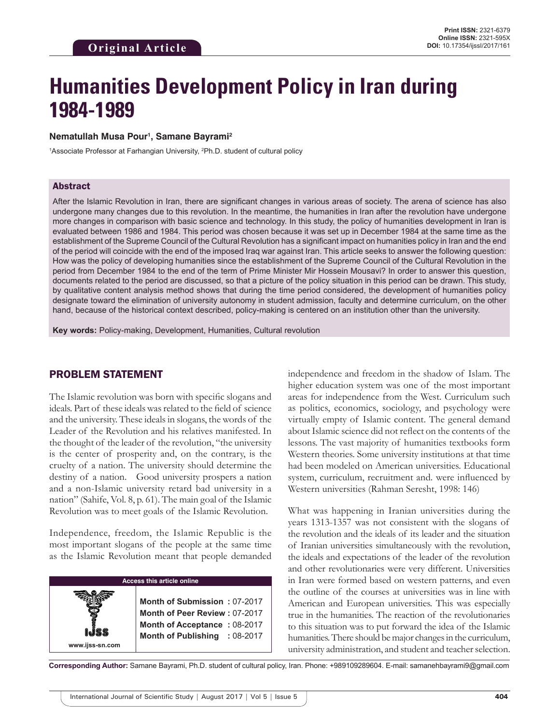# **Humanities Development Policy in Iran during 1984-1989**

#### **Nematullah Musa Pour1 , Samane Bayrami2**

<sup>1</sup>Associate Professor at Farhangian University, <sup>2</sup>Ph.D. student of cultural policy

#### Abstract

After the Islamic Revolution in Iran, there are significant changes in various areas of society. The arena of science has also undergone many changes due to this revolution. In the meantime, the humanities in Iran after the revolution have undergone more changes in comparison with basic science and technology. In this study, the policy of humanities development in Iran is evaluated between 1986 and 1984. This period was chosen because it was set up in December 1984 at the same time as the establishment of the Supreme Council of the Cultural Revolution has a significant impact on humanities policy in Iran and the end of the period will coincide with the end of the imposed Iraq war against Iran. This article seeks to answer the following question: How was the policy of developing humanities since the establishment of the Supreme Council of the Cultural Revolution in the period from December 1984 to the end of the term of Prime Minister Mir Hossein Mousavi? In order to answer this question, documents related to the period are discussed, so that a picture of the policy situation in this period can be drawn. This study, by qualitative content analysis method shows that during the time period considered, the development of humanities policy designate toward the elimination of university autonomy in student admission, faculty and determine curriculum, on the other hand, because of the historical context described, policy-making is centered on an institution other than the university.

**Key words:** Policy-making, Development, Humanities, Cultural revolution

#### PROBLEM STATEMENT

**www.ijss-sn.com**

The Islamic revolution was born with specific slogans and ideals. Part of these ideals was related to the field of science and the university. These ideals in slogans, the words of the Leader of the Revolution and his relatives manifested. In the thought of the leader of the revolution, "the university is the center of prosperity and, on the contrary, is the cruelty of a nation. The university should determine the destiny of a nation. Good university prospers a nation and a non-Islamic university retard bad university in a nation" (Sahife, Vol. 8, p. 61). The main goal of the Islamic Revolution was to meet goals of the Islamic Revolution.

Independence, freedom, the Islamic Republic is the most important slogans of the people at the same time as the Islamic Revolution meant that people demanded

#### **Access this article online**

**Month of Submission :** 07-2017 **Month of Peer Review :** 07-2017 **Month of Acceptance :** 08-2017 **Month of Publishing :** 08-2017 independence and freedom in the shadow of Islam. The higher education system was one of the most important areas for independence from the West. Curriculum such as politics, economics, sociology, and psychology were virtually empty of Islamic content. The general demand about Islamic science did not reflect on the contents of the lessons. The vast majority of humanities textbooks form Western theories. Some university institutions at that time had been modeled on American universities. Educational system, curriculum, recruitment and. were influenced by Western universities (Rahman Seresht, 1998: 146)

What was happening in Iranian universities during the years 1313-1357 was not consistent with the slogans of the revolution and the ideals of its leader and the situation of Iranian universities simultaneously with the revolution, the ideals and expectations of the leader of the revolution and other revolutionaries were very different. Universities in Iran were formed based on western patterns, and even the outline of the courses at universities was in line with American and European universities. This was especially true in the humanities. The reaction of the revolutionaries to this situation was to put forward the idea of the Islamic humanities. There should be major changes in the curriculum, university administration, and student and teacher selection.

**Corresponding Author:** Samane Bayrami, Ph.D. student of cultural policy, Iran. Phone: +989109289604. E-mail: samanehbayrami9@gmail.com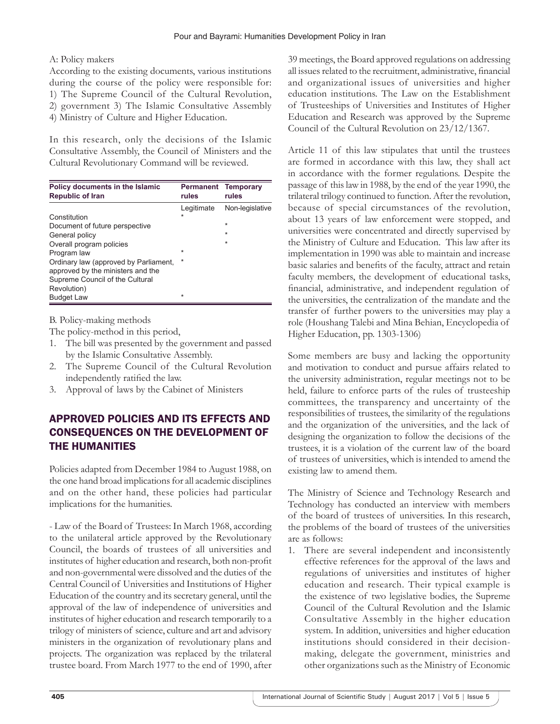#### A: Policy makers

According to the existing documents, various institutions during the course of the policy were responsible for: 1) The Supreme Council of the Cultural Revolution, 2) government 3) The Islamic Consultative Assembly 4) Ministry of Culture and Higher Education.

In this research, only the decisions of the Islamic Consultative Assembly, the Council of Ministers and the Cultural Revolutionary Command will be reviewed.

| Policy documents in the Islamic<br><b>Republic of Iran</b> | Permanent<br>rules | <b>Temporary</b><br>rules |
|------------------------------------------------------------|--------------------|---------------------------|
|                                                            | Legitimate         | Non-legislative           |
| Constitution                                               | $\star$            |                           |
| Document of future perspective                             |                    | ÷                         |
| General policy                                             |                    | $\star$                   |
| Overall program policies                                   |                    | $\star$                   |
| Program law                                                | $\star$            |                           |
| Ordinary law (approved by Parliament,                      | $\star$            |                           |
| approved by the ministers and the                          |                    |                           |
| Supreme Council of the Cultural                            |                    |                           |
| Revolution)                                                |                    |                           |
| <b>Budget Law</b>                                          | $\star$            |                           |

B. Policy-making methods

The policy-method in this period,

- 1. The bill was presented by the government and passed by the Islamic Consultative Assembly.
- 2. The Supreme Council of the Cultural Revolution independently ratified the law.
- 3. Approval of laws by the Cabinet of Ministers

# APPROVED POLICIES AND ITS EFFECTS AND CONSEQUENCES ON THE DEVELOPMENT OF THE HUMANITIES

Policies adapted from December 1984 to August 1988, on the one hand broad implications for all academic disciplines and on the other hand, these policies had particular implications for the humanities.

- Law of the Board of Trustees: In March 1968, according to the unilateral article approved by the Revolutionary Council, the boards of trustees of all universities and institutes of higher education and research, both non-profit and non-governmental were dissolved and the duties of the Central Council of Universities and Institutions of Higher Education of the country and its secretary general, until the approval of the law of independence of universities and institutes of higher education and research temporarily to a trilogy of ministers of science, culture and art and advisory ministers in the organization of revolutionary plans and projects. The organization was replaced by the trilateral trustee board. From March 1977 to the end of 1990, after

39 meetings, the Board approved regulations on addressing all issues related to the recruitment, administrative, financial and organizational issues of universities and higher education institutions. The Law on the Establishment of Trusteeships of Universities and Institutes of Higher Education and Research was approved by the Supreme Council of the Cultural Revolution on 23/12/1367.

Article 11 of this law stipulates that until the trustees are formed in accordance with this law, they shall act in accordance with the former regulations. Despite the passage of this law in 1988, by the end of the year 1990, the trilateral trilogy continued to function. After the revolution, because of special circumstances of the revolution, about 13 years of law enforcement were stopped, and universities were concentrated and directly supervised by the Ministry of Culture and Education. This law after its implementation in 1990 was able to maintain and increase basic salaries and benefits of the faculty, attract and retain faculty members, the development of educational tasks, financial, administrative, and independent regulation of the universities, the centralization of the mandate and the transfer of further powers to the universities may play a role (Houshang Talebi and Mina Behian, Encyclopedia of Higher Education, pp. 1303-1306)

Some members are busy and lacking the opportunity and motivation to conduct and pursue affairs related to the university administration, regular meetings not to be held, failure to enforce parts of the rules of trusteeship committees, the transparency and uncertainty of the responsibilities of trustees, the similarity of the regulations and the organization of the universities, and the lack of designing the organization to follow the decisions of the trustees, it is a violation of the current law of the board of trustees of universities, which is intended to amend the existing law to amend them.

The Ministry of Science and Technology Research and Technology has conducted an interview with members of the board of trustees of universities. In this research, the problems of the board of trustees of the universities are as follows:

1. There are several independent and inconsistently effective references for the approval of the laws and regulations of universities and institutes of higher education and research. Their typical example is the existence of two legislative bodies, the Supreme Council of the Cultural Revolution and the Islamic Consultative Assembly in the higher education system. In addition, universities and higher education institutions should considered in their decisionmaking, delegate the government, ministries and other organizations such as the Ministry of Economic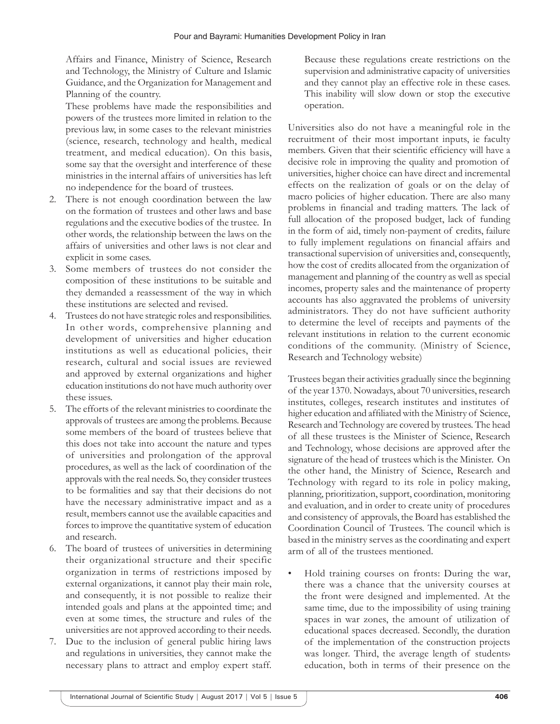Affairs and Finance, Ministry of Science, Research and Technology, the Ministry of Culture and Islamic Guidance, and the Organization for Management and Planning of the country.

These problems have made the responsibilities and powers of the trustees more limited in relation to the previous law, in some cases to the relevant ministries (science, research, technology and health, medical treatment, and medical education). On this basis, some say that the oversight and interference of these ministries in the internal affairs of universities has left no independence for the board of trustees.

- 2. There is not enough coordination between the law on the formation of trustees and other laws and base regulations and the executive bodies of the trustee. In other words, the relationship between the laws on the affairs of universities and other laws is not clear and explicit in some cases.
- 3. Some members of trustees do not consider the composition of these institutions to be suitable and they demanded a reassessment of the way in which these institutions are selected and revised.
- 4. Trustees do not have strategic roles and responsibilities. In other words, comprehensive planning and development of universities and higher education institutions as well as educational policies, their research, cultural and social issues are reviewed and approved by external organizations and higher education institutions do not have much authority over these issues.
- 5. The efforts of the relevant ministries to coordinate the approvals of trustees are among the problems. Because some members of the board of trustees believe that this does not take into account the nature and types of universities and prolongation of the approval procedures, as well as the lack of coordination of the approvals with the real needs. So, they consider trustees to be formalities and say that their decisions do not have the necessary administrative impact and as a result, members cannot use the available capacities and forces to improve the quantitative system of education and research.
- 6. The board of trustees of universities in determining their organizational structure and their specific organization in terms of restrictions imposed by external organizations, it cannot play their main role, and consequently, it is not possible to realize their intended goals and plans at the appointed time; and even at some times, the structure and rules of the universities are not approved according to their needs.
- 7. Due to the inclusion of general public hiring laws and regulations in universities, they cannot make the necessary plans to attract and employ expert staff.

Because these regulations create restrictions on the supervision and administrative capacity of universities and they cannot play an effective role in these cases. This inability will slow down or stop the executive operation.

Universities also do not have a meaningful role in the recruitment of their most important inputs, ie faculty members. Given that their scientific efficiency will have a decisive role in improving the quality and promotion of universities, higher choice can have direct and incremental effects on the realization of goals or on the delay of macro policies of higher education. There are also many problems in financial and trading matters. The lack of full allocation of the proposed budget, lack of funding in the form of aid, timely non-payment of credits, failure to fully implement regulations on financial affairs and transactional supervision of universities and, consequently, how the cost of credits allocated from the organization of management and planning of the country as well as special incomes, property sales and the maintenance of property accounts has also aggravated the problems of university administrators. They do not have sufficient authority to determine the level of receipts and payments of the relevant institutions in relation to the current economic conditions of the community. (Ministry of Science, Research and Technology website)

Trustees began their activities gradually since the beginning of the year 1370. Nowadays, about 70 universities, research institutes, colleges, research institutes and institutes of higher education and affiliated with the Ministry of Science, Research and Technology are covered by trustees. The head of all these trustees is the Minister of Science, Research and Technology, whose decisions are approved after the signature of the head of trustees which is the Minister. On the other hand, the Ministry of Science, Research and Technology with regard to its role in policy making, planning, prioritization, support, coordination, monitoring and evaluation, and in order to create unity of procedures and consistency of approvals, the Board has established the Coordination Council of Trustees. The council which is based in the ministry serves as the coordinating and expert arm of all of the trustees mentioned.

Hold training courses on fronts: During the war, there was a chance that the university courses at the front were designed and implemented. At the same time, due to the impossibility of using training spaces in war zones, the amount of utilization of educational spaces decreased. Secondly, the duration of the implementation of the construction projects was longer. Third, the average length of students education, both in terms of their presence on the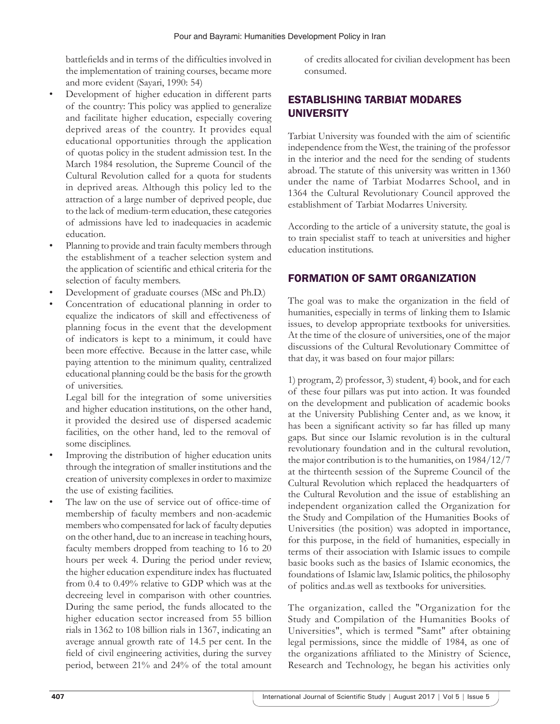battlefields and in terms of the difficulties involved in the implementation of training courses, became more and more evident (Sayari, 1990: 54)

- Development of higher education in different parts of the country: This policy was applied to generalize and facilitate higher education, especially covering deprived areas of the country. It provides equal educational opportunities through the application of quotas policy in the student admission test. In the March 1984 resolution, the Supreme Council of the Cultural Revolution called for a quota for students in deprived areas. Although this policy led to the attraction of a large number of deprived people, due to the lack of medium-term education, these categories of admissions have led to inadequacies in academic education.
- Planning to provide and train faculty members through the establishment of a teacher selection system and the application of scientific and ethical criteria for the selection of faculty members.
- Development of graduate courses (MSc and Ph.D.)
- Concentration of educational planning in order to equalize the indicators of skill and effectiveness of planning focus in the event that the development of indicators is kept to a minimum, it could have been more effective. Because in the latter case, while paying attention to the minimum quality, centralized educational planning could be the basis for the growth of universities.

Legal bill for the integration of some universities and higher education institutions, on the other hand, it provided the desired use of dispersed academic facilities, on the other hand, led to the removal of some disciplines.

- Improving the distribution of higher education units through the integration of smaller institutions and the creation of university complexes in order to maximize the use of existing facilities.
- The law on the use of service out of office-time of membership of faculty members and non-academic members who compensated for lack of faculty deputies on the other hand, due to an increase in teaching hours, faculty members dropped from teaching to 16 to 20 hours per week 4. During the period under review, the higher education expenditure index has fluctuated from 0.4 to 0.49% relative to GDP which was at the decreeing level in comparison with other countries. During the same period, the funds allocated to the higher education sector increased from 55 billion rials in 1362 to 108 billion rials in 1367, indicating an average annual growth rate of 14.5 per cent. In the field of civil engineering activities, during the survey period, between 21% and 24% of the total amount

of credits allocated for civilian development has been consumed.

# ESTABLISHING TARBIAT MODARES UNIVERSITY

Tarbiat University was founded with the aim of scientific independence from the West, the training of the professor in the interior and the need for the sending of students abroad. The statute of this university was written in 1360 under the name of Tarbiat Modarres School, and in 1364 the Cultural Revolutionary Council approved the establishment of Tarbiat Modarres University.

According to the article of a university statute, the goal is to train specialist staff to teach at universities and higher education institutions.

### FORMATION OF SAMT ORGANIZATION

The goal was to make the organization in the field of humanities, especially in terms of linking them to Islamic issues, to develop appropriate textbooks for universities. At the time of the closure of universities, one of the major discussions of the Cultural Revolutionary Committee of that day, it was based on four major pillars:

1) program, 2) professor, 3) student, 4) book, and for each of these four pillars was put into action. It was founded on the development and publication of academic books at the University Publishing Center and, as we know, it has been a significant activity so far has filled up many gaps. But since our Islamic revolution is in the cultural revolutionary foundation and in the cultural revolution, the major contribution is to the humanities, on 1984/12/7 at the thirteenth session of the Supreme Council of the Cultural Revolution which replaced the headquarters of the Cultural Revolution and the issue of establishing an independent organization called the Organization for the Study and Compilation of the Humanities Books of Universities (the position) was adopted in importance, for this purpose, in the field of humanities, especially in terms of their association with Islamic issues to compile basic books such as the basics of Islamic economics, the foundations of Islamic law, Islamic politics, the philosophy of politics and.as well as textbooks for universities.

The organization, called the "Organization for the Study and Compilation of the Humanities Books of Universities", which is termed "Samt" after obtaining legal permissions, since the middle of 1984, as one of the organizations affiliated to the Ministry of Science, Research and Technology, he began his activities only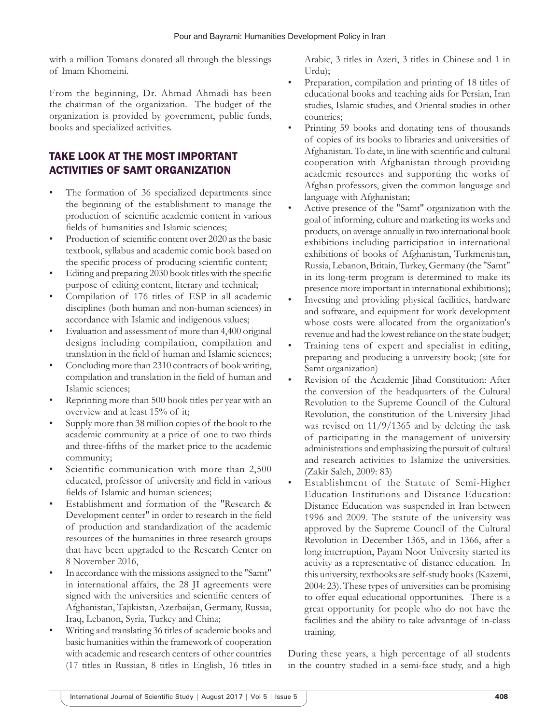with a million Tomans donated all through the blessings of Imam Khomeini.

From the beginning, Dr. Ahmad Ahmadi has been the chairman of the organization. The budget of the organization is provided by government, public funds, books and specialized activities.

# TAKE LOOK AT THE MOST IMPORTANT ACTIVITIES OF SAMT ORGANIZATION

- The formation of 36 specialized departments since the beginning of the establishment to manage the production of scientific academic content in various fields of humanities and Islamic sciences;
- Production of scientific content over 2020 as the basic textbook, syllabus and academic comic book based on the specific process of producing scientific content;
- Editing and preparing 2030 book titles with the specific purpose of editing content, literary and technical;
- Compilation of 176 titles of ESP in all academic disciplines (both human and non-human sciences) in accordance with Islamic and indigenous values;
- Evaluation and assessment of more than 4,400 original designs including compilation, compilation and translation in the field of human and Islamic sciences;
- Concluding more than 2310 contracts of book writing, compilation and translation in the field of human and Islamic sciences;
- Reprinting more than 500 book titles per year with an overview and at least 15% of it;
- Supply more than 38 million copies of the book to the academic community at a price of one to two thirds and three-fifths of the market price to the academic community;
- Scientific communication with more than 2,500 educated, professor of university and field in various fields of Islamic and human sciences;
- Establishment and formation of the "Research & Development center" in order to research in the field of production and standardization of the academic resources of the humanities in three research groups that have been upgraded to the Research Center on 8 November 2016,
- In accordance with the missions assigned to the "Samt" in international affairs, the 28 JI agreements were signed with the universities and scientific centers of Afghanistan, Tajikistan, Azerbaijan, Germany, Russia, Iraq, Lebanon, Syria, Turkey and China;
- Writing and translating 36 titles of academic books and basic humanities within the framework of cooperation with academic and research centers of other countries (17 titles in Russian, 8 titles in English, 16 titles in

Arabic, 3 titles in Azeri, 3 titles in Chinese and 1 in Urdu);

- Preparation, compilation and printing of 18 titles of educational books and teaching aids for Persian, Iran studies, Islamic studies, and Oriental studies in other countries;
- Printing 59 books and donating tens of thousands of copies of its books to libraries and universities of Afghanistan. To date, in line with scientific and cultural cooperation with Afghanistan through providing academic resources and supporting the works of Afghan professors, given the common language and language with Afghanistan;
- Active presence of the "Samt" organization with the goal of informing, culture and marketing its works and products, on average annually in two international book exhibitions including participation in international exhibitions of books of Afghanistan, Turkmenistan, Russia, Lebanon, Britain, Turkey, Germany (the "Samt" in its long-term program is determined to make its presence more important in international exhibitions);
- Investing and providing physical facilities, hardware and software, and equipment for work development whose costs were allocated from the organization's revenue and had the lowest reliance on the state budget;
- Training tens of expert and specialist in editing, preparing and producing a university book; (site for Samt organization)
- Revision of the Academic Jihad Constitution: After the conversion of the headquarters of the Cultural Revolution to the Supreme Council of the Cultural Revolution, the constitution of the University Jihad was revised on 11/9/1365 and by deleting the task of participating in the management of university administrations and emphasizing the pursuit of cultural and research activities to Islamize the universities. (Zakir Saleh, 2009: 83)
- Establishment of the Statute of Semi-Higher Education Institutions and Distance Education: Distance Education was suspended in Iran between 1996 and 2009. The statute of the university was approved by the Supreme Council of the Cultural Revolution in December 1365, and in 1366, after a long interruption, Payam Noor University started its activity as a representative of distance education. In this university, textbooks are self-study books (Kazemi, 2004: 23). These types of universities can be promising to offer equal educational opportunities. There is a great opportunity for people who do not have the facilities and the ability to take advantage of in-class training.

During these years, a high percentage of all students in the country studied in a semi-face study, and a high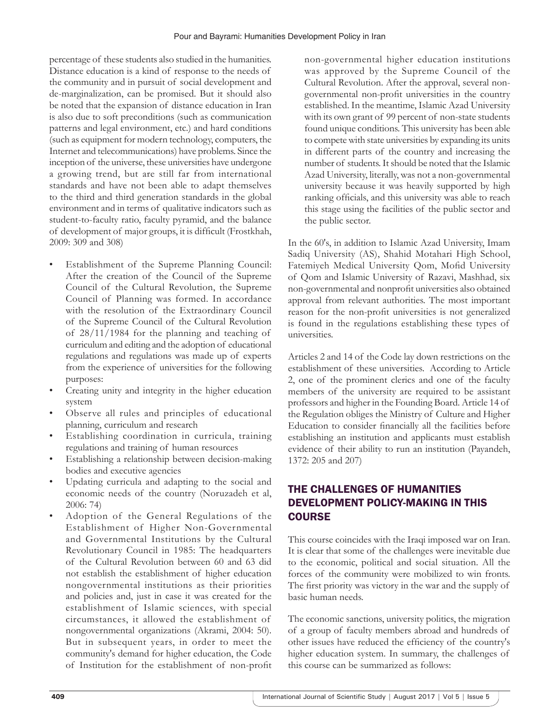percentage of these students also studied in the humanities. Distance education is a kind of response to the needs of the community and in pursuit of social development and de-marginalization, can be promised. But it should also be noted that the expansion of distance education in Iran is also due to soft preconditions (such as communication patterns and legal environment, etc.) and hard conditions (such as equipment for modern technology, computers, the Internet and telecommunications) have problems. Since the inception of the universe, these universities have undergone a growing trend, but are still far from international standards and have not been able to adapt themselves to the third and third generation standards in the global environment and in terms of qualitative indicators such as student-to-faculty ratio, faculty pyramid, and the balance of development of major groups, it is difficult (Frostkhah, 2009: 309 and 308)

- Establishment of the Supreme Planning Council: After the creation of the Council of the Supreme Council of the Cultural Revolution, the Supreme Council of Planning was formed. In accordance with the resolution of the Extraordinary Council of the Supreme Council of the Cultural Revolution of 28/11/1984 for the planning and teaching of curriculum and editing and the adoption of educational regulations and regulations was made up of experts from the experience of universities for the following purposes:
- Creating unity and integrity in the higher education system
- Observe all rules and principles of educational planning, curriculum and research
- Establishing coordination in curricula, training regulations and training of human resources
- Establishing a relationship between decision-making bodies and executive agencies
- Updating curricula and adapting to the social and economic needs of the country (Noruzadeh et al, 2006: 74)
- Adoption of the General Regulations of the Establishment of Higher Non-Governmental and Governmental Institutions by the Cultural Revolutionary Council in 1985: The headquarters of the Cultural Revolution between 60 and 63 did not establish the establishment of higher education nongovernmental institutions as their priorities and policies and, just in case it was created for the establishment of Islamic sciences, with special circumstances, it allowed the establishment of nongovernmental organizations (Akrami, 2004: 50). But in subsequent years, in order to meet the community's demand for higher education, the Code of Institution for the establishment of non-profit

non-governmental higher education institutions was approved by the Supreme Council of the Cultural Revolution. After the approval, several nongovernmental non-profit universities in the country established. In the meantime, Islamic Azad University with its own grant of 99 percent of non-state students found unique conditions. This university has been able to compete with state universities by expanding its units in different parts of the country and increasing the number of students. It should be noted that the Islamic Azad University, literally, was not a non-governmental university because it was heavily supported by high ranking officials, and this university was able to reach this stage using the facilities of the public sector and the public sector.

In the 60's, in addition to Islamic Azad University, Imam Sadiq University (AS), Shahid Motahari High School, Fatemiyeh Medical University Qom, Mofid University of Qom and Islamic University of Razavi, Mashhad, six non-governmental and nonprofit universities also obtained approval from relevant authorities. The most important reason for the non-profit universities is not generalized is found in the regulations establishing these types of universities.

Articles 2 and 14 of the Code lay down restrictions on the establishment of these universities. According to Article 2, one of the prominent clerics and one of the faculty members of the university are required to be assistant professors and higher in the Founding Board. Article 14 of the Regulation obliges the Ministry of Culture and Higher Education to consider financially all the facilities before establishing an institution and applicants must establish evidence of their ability to run an institution (Payandeh, 1372: 205 and 207)

# THE CHALLENGES OF HUMANITIES DEVELOPMENT POLICY-MAKING IN THIS **COURSE**

This course coincides with the Iraqi imposed war on Iran. It is clear that some of the challenges were inevitable due to the economic, political and social situation. All the forces of the community were mobilized to win fronts. The first priority was victory in the war and the supply of basic human needs.

The economic sanctions, university politics, the migration of a group of faculty members abroad and hundreds of other issues have reduced the efficiency of the country's higher education system. In summary, the challenges of this course can be summarized as follows: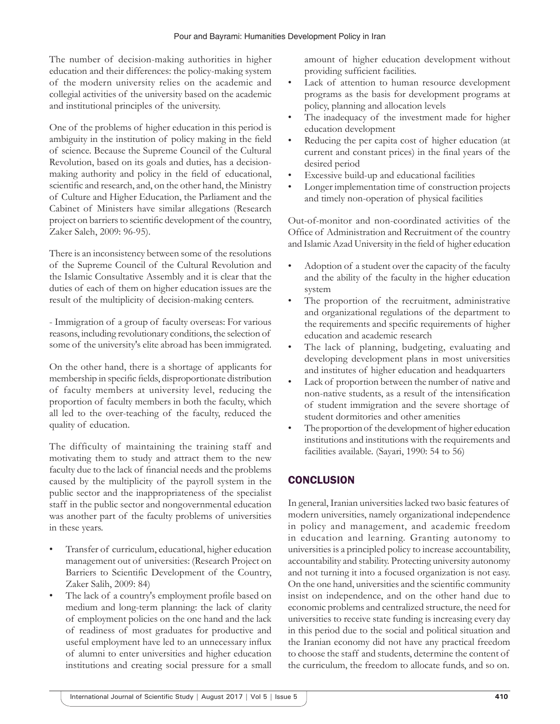The number of decision-making authorities in higher education and their differences: the policy-making system of the modern university relies on the academic and collegial activities of the university based on the academic and institutional principles of the university.

One of the problems of higher education in this period is ambiguity in the institution of policy making in the field of science. Because the Supreme Council of the Cultural Revolution, based on its goals and duties, has a decisionmaking authority and policy in the field of educational, scientific and research, and, on the other hand, the Ministry of Culture and Higher Education, the Parliament and the Cabinet of Ministers have similar allegations (Research project on barriers to scientific development of the country, Zaker Saleh, 2009: 96-95).

There is an inconsistency between some of the resolutions of the Supreme Council of the Cultural Revolution and the Islamic Consultative Assembly and it is clear that the duties of each of them on higher education issues are the result of the multiplicity of decision-making centers.

- Immigration of a group of faculty overseas: For various reasons, including revolutionary conditions, the selection of some of the university's elite abroad has been immigrated.

On the other hand, there is a shortage of applicants for membership in specific fields, disproportionate distribution of faculty members at university level, reducing the proportion of faculty members in both the faculty, which all led to the over-teaching of the faculty, reduced the quality of education.

The difficulty of maintaining the training staff and motivating them to study and attract them to the new faculty due to the lack of financial needs and the problems caused by the multiplicity of the payroll system in the public sector and the inappropriateness of the specialist staff in the public sector and nongovernmental education was another part of the faculty problems of universities in these years.

- Transfer of curriculum, educational, higher education management out of universities: (Research Project on Barriers to Scientific Development of the Country, Zaker Salih, 2009: 84)
- The lack of a country's employment profile based on medium and long-term planning: the lack of clarity of employment policies on the one hand and the lack of readiness of most graduates for productive and useful employment have led to an unnecessary influx of alumni to enter universities and higher education institutions and creating social pressure for a small

amount of higher education development without providing sufficient facilities.

- Lack of attention to human resource development programs as the basis for development programs at policy, planning and allocation levels
- The inadequacy of the investment made for higher education development
- Reducing the per capita cost of higher education (at current and constant prices) in the final years of the desired period
- Excessive build-up and educational facilities
- Longer implementation time of construction projects and timely non-operation of physical facilities

Out-of-monitor and non-coordinated activities of the Office of Administration and Recruitment of the country and Islamic Azad University in the field of higher education

- Adoption of a student over the capacity of the faculty and the ability of the faculty in the higher education system
- The proportion of the recruitment, administrative and organizational regulations of the department to the requirements and specific requirements of higher education and academic research
- The lack of planning, budgeting, evaluating and developing development plans in most universities and institutes of higher education and headquarters
- Lack of proportion between the number of native and non-native students, as a result of the intensification of student immigration and the severe shortage of student dormitories and other amenities
- The proportion of the development of higher education institutions and institutions with the requirements and facilities available. (Sayari, 1990: 54 to 56)

# **CONCLUSION**

In general, Iranian universities lacked two basic features of modern universities, namely organizational independence in policy and management, and academic freedom in education and learning. Granting autonomy to universities is a principled policy to increase accountability, accountability and stability. Protecting university autonomy and not turning it into a focused organization is not easy. On the one hand, universities and the scientific community insist on independence, and on the other hand due to economic problems and centralized structure, the need for universities to receive state funding is increasing every day in this period due to the social and political situation and the Iranian economy did not have any practical freedom to choose the staff and students, determine the content of the curriculum, the freedom to allocate funds, and so on.